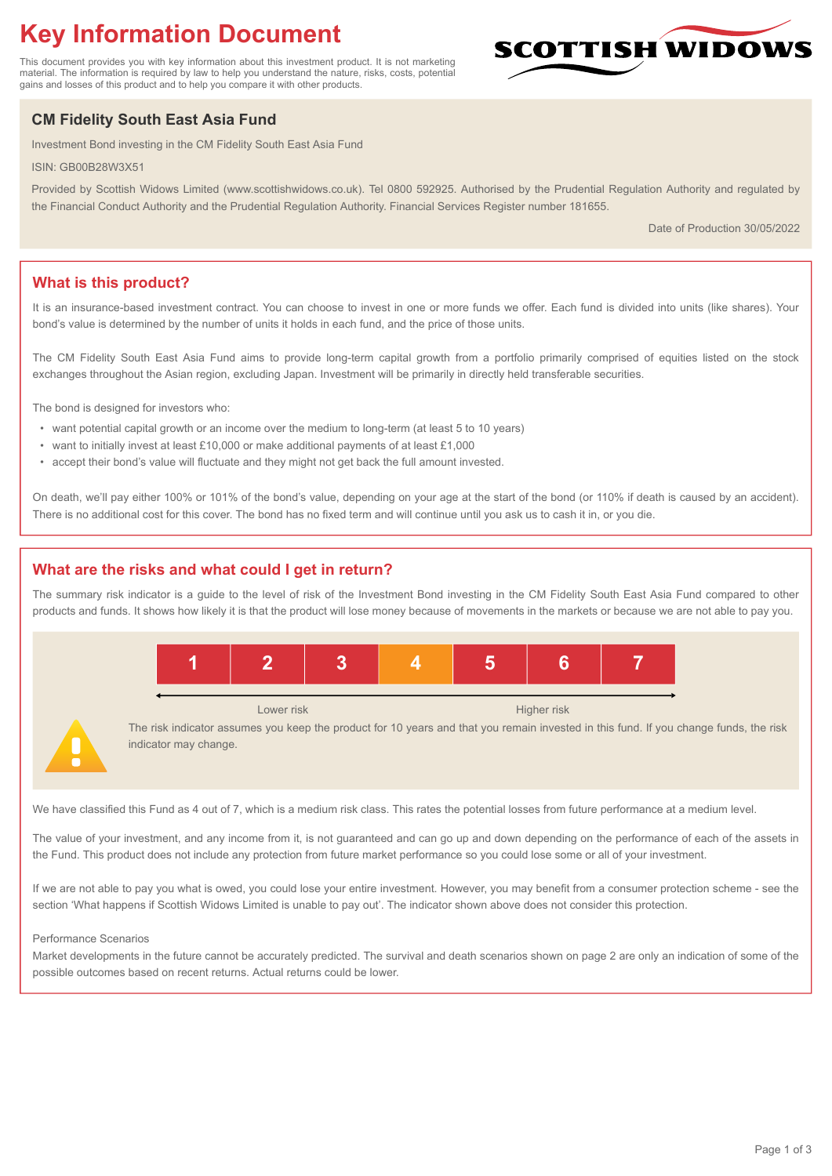# **Key Information Document**

This document provides you with key information about this investment product. It is not marketing material. The information is required by law to help you understand the nature, risks, costs, potential gains and losses of this product and to help you compare it with other products.

# **CM Fidelity South East Asia Fund**

Investment Bond investing in the CM Fidelity South East Asia Fund

ISIN: GB00B28W3X51

Provided by Scottish Widows Limited (www.scottishwidows.co.uk). Tel 0800 592925. Authorised by the Prudential Regulation Authority and regulated by the Financial Conduct Authority and the Prudential Regulation Authority. Financial Services Register number 181655.

Date of Production 30/05/2022

**SCOTTISH WIDOW** 

# **What is this product?**

It is an insurance-based investment contract. You can choose to invest in one or more funds we offer. Each fund is divided into units (like shares). Your bond's value is determined by the number of units it holds in each fund, and the price of those units.

The CM Fidelity South East Asia Fund aims to provide long-term capital growth from a portfolio primarily comprised of equities listed on the stock exchanges throughout the Asian region, excluding Japan. Investment will be primarily in directly held transferable securities.

The bond is designed for investors who:

- want potential capital growth or an income over the medium to long-term (at least 5 to 10 years)
- want to initially invest at least £10,000 or make additional payments of at least £1,000
- accept their bond's value will fluctuate and they might not get back the full amount invested.

On death, we'll pay either 100% or 101% of the bond's value, depending on your age at the start of the bond (or 110% if death is caused by an accident). There is no additional cost for this cover. The bond has no fixed term and will continue until you ask us to cash it in, or you die.

# **What are the risks and what could I get in return?**

The summary risk indicator is a guide to the level of risk of the Investment Bond investing in the CM Fidelity South East Asia Fund compared to other products and funds. It shows how likely it is that the product will lose money because of movements in the markets or because we are not able to pay you.



We have classified this Fund as 4 out of 7, which is a medium risk class. This rates the potential losses from future performance at a medium level.

The value of your investment, and any income from it, is not guaranteed and can go up and down depending on the performance of each of the assets in the Fund. This product does not include any protection from future market performance so you could lose some or all of your investment.

If we are not able to pay you what is owed, you could lose your entire investment. However, you may benefit from a consumer protection scheme - see the section 'What happens if Scottish Widows Limited is unable to pay out'. The indicator shown above does not consider this protection.

#### Performance Scenarios

Market developments in the future cannot be accurately predicted. The survival and death scenarios shown on page 2 are only an indication of some of the possible outcomes based on recent returns. Actual returns could be lower.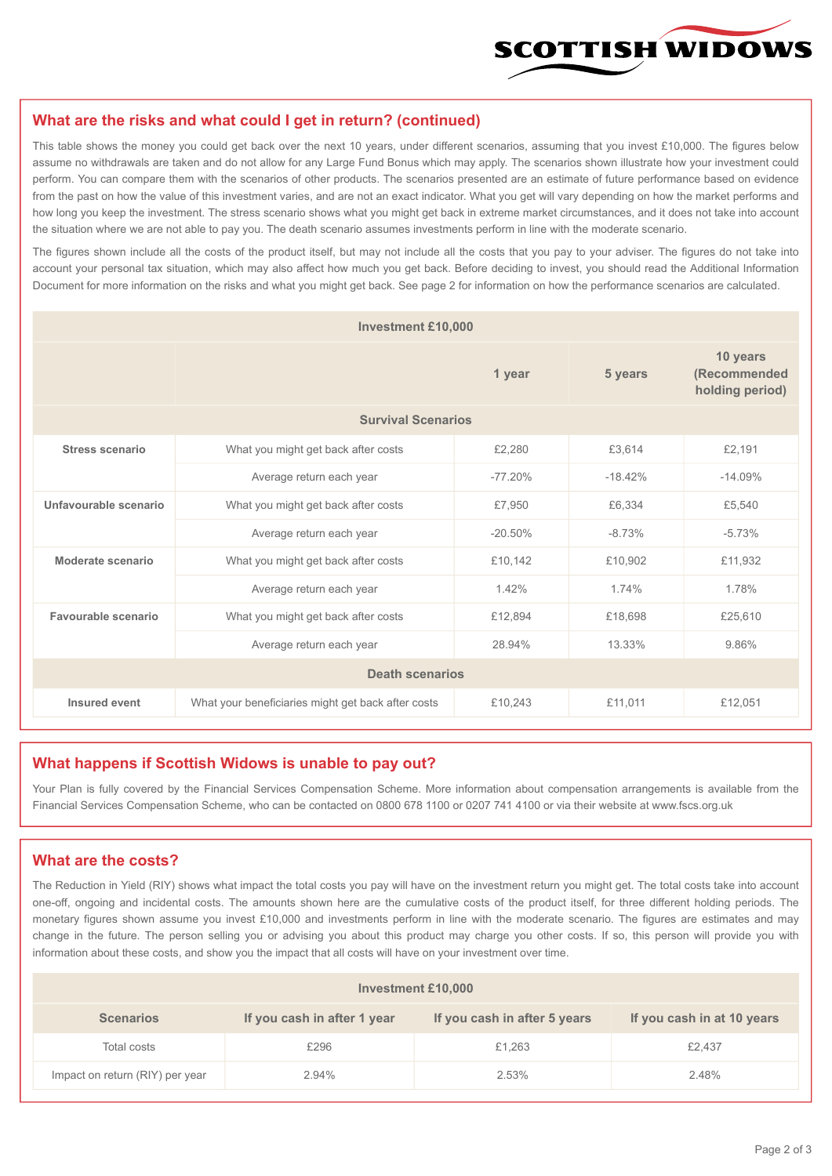

#### **What are the risks and what could I get in return? (continued)**

This table shows the money you could get back over the next 10 years, under different scenarios, assuming that you invest £10,000. The figures below assume no withdrawals are taken and do not allow for any Large Fund Bonus which may apply. The scenarios shown illustrate how your investment could perform. You can compare them with the scenarios of other products. The scenarios presented are an estimate of future performance based on evidence from the past on how the value of this investment varies, and are not an exact indicator. What you get will vary depending on how the market performs and how long you keep the investment. The stress scenario shows what you might get back in extreme market circumstances, and it does not take into account the situation where we are not able to pay you. The death scenario assumes investments perform in line with the moderate scenario.

The figures shown include all the costs of the product itself, but may not include all the costs that you pay to your adviser. The figures do not take into account your personal tax situation, which may also affect how much you get back. Before deciding to invest, you should read the Additional Information Document for more information on the risks and what you might get back. See page 2 for information on how the performance scenarios are calculated.

| <b>Investment £10,000</b> |                                                    |           |           |                                             |  |  |
|---------------------------|----------------------------------------------------|-----------|-----------|---------------------------------------------|--|--|
|                           | 1 year                                             |           | 5 years   | 10 years<br>(Recommended<br>holding period) |  |  |
| <b>Survival Scenarios</b> |                                                    |           |           |                                             |  |  |
| <b>Stress scenario</b>    | What you might get back after costs                | £2,280    | £3,614    | £2,191                                      |  |  |
|                           | Average return each year                           | $-77.20%$ | $-18.42%$ | $-14.09%$                                   |  |  |
| Unfavourable scenario     | What you might get back after costs<br>£7,950      |           | £6,334    | £5,540                                      |  |  |
|                           | Average return each year                           | $-20.50%$ | $-8.73%$  | $-5.73%$                                    |  |  |
| Moderate scenario         | What you might get back after costs                | £10,142   | £10,902   | £11.932                                     |  |  |
|                           | Average return each year                           | 1.42%     | 1.74%     | 1.78%                                       |  |  |
| Favourable scenario       | What you might get back after costs                | £12,894   | £18,698   | £25,610                                     |  |  |
| Average return each year  |                                                    | 28.94%    | 13.33%    | 9.86%                                       |  |  |
| <b>Death scenarios</b>    |                                                    |           |           |                                             |  |  |
| Insured event             | What your beneficiaries might get back after costs | £10,243   | £11,011   | £12,051                                     |  |  |

#### **What happens if Scottish Widows is unable to pay out?**

Your Plan is fully covered by the Financial Services Compensation Scheme. More information about compensation arrangements is available from the Financial Services Compensation Scheme, who can be contacted on 0800 678 1100 or 0207 741 4100 or via their website at www.fscs.org.uk

# **What are the costs?**

The Reduction in Yield (RIY) shows what impact the total costs you pay will have on the investment return you might get. The total costs take into account one-off, ongoing and incidental costs. The amounts shown here are the cumulative costs of the product itself, for three different holding periods. The monetary figures shown assume you invest £10,000 and investments perform in line with the moderate scenario. The figures are estimates and may change in the future. The person selling you or advising you about this product may charge you other costs. If so, this person will provide you with information about these costs, and show you the impact that all costs will have on your investment over time.

| Investment £10,000              |                             |                              |                            |  |  |  |
|---------------------------------|-----------------------------|------------------------------|----------------------------|--|--|--|
| <b>Scenarios</b>                | If you cash in after 1 year | If you cash in after 5 years | If you cash in at 10 years |  |  |  |
| Total costs                     | £296                        | £1,263                       | £2,437                     |  |  |  |
| Impact on return (RIY) per year | 2.94%                       | 2.53%                        | 2.48%                      |  |  |  |